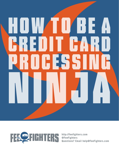# How to Be a Credit Card Processing the processing of the content of the content of the content of the content of the content of the content of the content of the content of the content of the content of the content of the content of the content o Ninja



**http://feefighters.com @FeeFighters Questions? Email help@FeeFighters.com**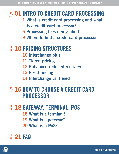## **SOLINTRO TO CREDIT CARD PROCESSING**

- 1 What is credit card processing and what is a credit card processor?
- 5 Processing fees demystified
- 9 Where to find a credit card processor

## **EXAMPLE STRUCTURES**

- 10 Interchange plus
- 11 Tiered pricing
- 12 Enhanced reduced recovery
- 13 Fixed pricing
- 14 Interchange vs. tiered

## **EXAMPLE 26 HOW TO CHOOSE A CREDIT CARD** PROCESSOR

## **28 GATEWAY, TERMINAL, POS** 18 What is a terminal? 19 What is a gateway?

20 What is a PoS?



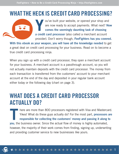## WHAT THE HECK IS CREDIT CARD PROCESSING?



Y ou've built your website, or opened your shop and are now ready to accept payments. What next? Now comes the seemingly daunting task of choosing a credit card processor (also called a merchant account provider). Don't worry though, FeeFighters has you covered.

With this ebook as your weapon, you will have all the knowledge needed to get a great deal on credit card processing for your business. Read on to become a true credit card processing ninja.

When you sign up with a credit card processor, they open a merchant account for your business. A merchant account is a passthrough account, so you will not actually maintain deposits with the credit card processor. The money from each transaction is transferred from the customers' account to your merchant account at the end of the day and deposited in your regular bank account either today or the following day (chart on page 3).

## WHAT DOES A CREDIT CARD PROCESSOR ACTUALLY DO?

T here are more than 800 processors registered with Visa and Mastercard. Yikes! What do these guys actually do? For the most part, processors are responsible for collecting the customers' money and passing it along to you, the business owner. Since the actual flow of money is highly automated, however, the majority of their work comes from finding, signing up, underwriting and providing customer service to new businesses like yours.

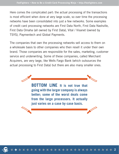Here comes the complicated part: the actual processing of the transactions is most efficient when done at very large scale, so over time the processing networks have been consolidated into just a few networks. Some examples of credit card processing networks are First Data North, First Data Nashville, First Data Omaha (all owned by First Data), Vital / Visanet (owned by TSYS), Paymentech and Global Payments.

The companies that own the processing networks sell access to them on a wholesale basis to other companies who then resell it under their own brand. Those companies are responsible for the sales, marketing, customer service and underwriting. Some of these companies, called Merchant Acquirers, are very large, like Wells Fargo Bank (which outsources the actual processing to First Data) but there are also many smaller ones.



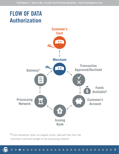## FLOW OF DATA **Authorization**



**3**

**\***If the transaction does not happen online, data will flow from the merchant's terminal straight to the processing network.

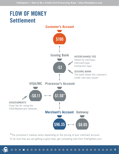

**\***The processor's markup varies depending on the pricing of your merchant account. To be sure that you are getting a good deal, get competing bids from FeeFighters.com.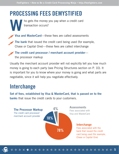## PROCESSING FEES DEMYSTIFIED

ho gets the money you pay when a credit card transaction occurs?

W Visa and MasterCard—these fees are called assessments

The bank that issued the credit card being used (for example, Chase or Capital One)—these fees are called interchange

The credit card processor / merchant account provider the processor markup

Usually the merchant account provider will not explicitly tell you how much money is going to each party (see Pricing Structures section on P. 10). It is important for you to know where your money is going and what parts are negotiable, since it will help you negotiate effectively.

## **Interchange**

Set of fees, established by Visa & MasterCard, that is passed on to the banks that issue the credit cards to your customers.

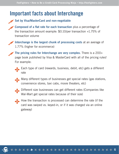## Important facts about Interchange



Composed of a flat rate for each transaction plus a percentage of the transaction amount example: \$0.10/per transaction +1.75% of transaction volume

Interchange is the largest chunk of processing costs at an average of 1.77% (higher for ecommerce)

The pricing rules for Interchange are very complex. There is a  $200+$ page book published by Visa & MasterCard with all of the pricing rules! For example:



Each type of card (rewards, business, debit, etc) gets a different rate

Many different types of businesses get special rates (gas stations, convenience stores, taxi cabs, movie theaters, etc)



Different size businesses can get different rates (Companies like Wal-Mart get special rates because of their size)



How the transaction is processed can determine the rate (if the card was swiped vs. keyed-in, or if it was charged via an online gateway)

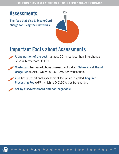## **Assessments**

The fees that Visa & MasterCard charge for using their networks.



**7**

## Important Facts about Assessments

A tiny portion of the cost—almost 20 times less than Interchange (Visa & Mastercard: 0.11%).

Mastercard has an additional assessment called Network and Brand Usage Fee (NABU) which is 0.0185% per transaction.

Visa has an additional assessment fee which is called Acquirer Processing Fee (APF) which is 0.0195% per transaction.

Set by Visa/MasterCard and non-negotiable.

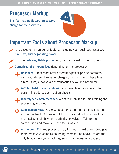## Processor Markup

The fee that credit card processors charge for their services.



## Important Facts about Processor Markup

- It is based on a number of factors, including your business' assessed risk, size, and negotiating power.
- It is the only negotiable portion of your credit card processing fees.
- Comprised of different fees depending on the processor:
- 

Base fees: Processors offer different types of pricing contracts, each with different rules for charging the merchant. These fees almost always involve a per-transaction & volume-based fee.



AVS fee (address verification): Per-transaction fees charged for performing address-verification checks.



Monthly fee / Statement fee: A flat monthly fee for maintaining the processing account.



Cancellation Fees: You may be surprised to find a cancellation fee in your contract. Getting rid of this fee should not be a problem: most salespeople have the authority to waive it. Talk to the salesperson and make sure the fee is waived.



And more... ?! Many processors try to sneak in extra fees (and give them creative & complex-sounding names). The above list are the only typical fees you should agree to in a processing contract.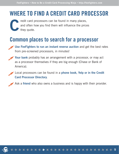## WHERE TO FIND A CREDIT CARD PROCESSOR

C redit card processors can be found in many places, and often how you find them will influence the prices they quote.

## Common places to search for a processor



Your bank probably has an arrangement with a processor, or may act as a processor themselves if they are big enough (Chase or Bank of America).

Local processors can be found in a phone book, Yelp or in the Credit Card Processor Directory.

Ask a friend who also owns a business and is happy with their provider.



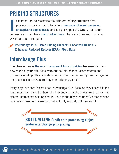## PRICING STRUCTURES

I<br>I<br>I t is important to recognize the different pricing structures that processors use in order to be able to compare different quotes on an apples-to-apples basis, and not get ripped off. Often, quotes are confusing and can have many hidden fees. These are three most common ways that rates are quoted:

Interchange Plus, Tiered Pricing Billback / Enhanced Billback / Enhanced Reduced Recover (ERR), Fixed Rate

## Interchange Plus

Interchange plus is the most transparent form of pricing because it's clear how much of your total fees were due to interchange, assessments and processor markup. This is preferable because you can easily keep an eye on the processor to make sure they aren't ripping you off.

Every large business insists upon interchange plus, because they know it is the best, most transparent option. Until recently, small business were largely not offered interchange plus pricing, but due to the highly competitive marketplace now, savvy business owners should not only want it, but demand it.



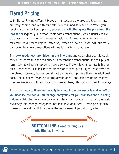## Tiered Pricing

With Tiered Pricing different types of transactions are grouped together into arbitrary "tiers," and a different rate is determined for each tier. When you receive a quote for tiered pricing, processors will often quote the price from the lowest tier (typically in-person debit cards transactions), which usually make up a very small portion of processing volume. For example, advertisements for credit card processing will often say "rates as low as 1.03!" without really disclosing how few transactions will really qualify for that rate.

The **downgrade fees are hidden in the fine print** and deemphasized although they often constitute the majority of a merchant's transactions. In their purest form, downgrading transactions makes sense. If the interchange rate is higher for a transaction, it is fair for the processor to recoup the higher cost from the merchant. However, processors almost always recoup more than the additional cost. This is called "marking up the downgrades" and can ending up costing business owners 2-3 times more in processing fees, often without their knowledge.

There is no way to figure out exactly how much the processor is making off of you because the actual interchange categories for your transactions are being hidden within the tiers. One trick often played by processors is to progressively reclassify interchange categories into less favorable tiers. Tiered pricing also makes it more difficult to address the root cause of your downgrades.

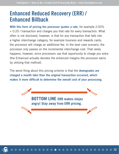## Enhanced Reduced Recovery (ERR) / Enhanced Billback

With this form of pricing the processor quotes a rate, for example 2.00% + 0.20 / transaction and charges you that rate for every transaction. What often is not disclosed, however, is that for any transaction that falls into a higher interchange category, for example business and rewards cards, the processor will charge an additional fee. In the best case scenario, the processor only passes on the incremental interchange cost. That rarely happens, however, since processors use that opportunity to charge you extra (the Enhanced actually denotes the enhanced margins the processor earns by utilizing that method).

The worst thing about this pricing scheme is that the **downgrades are** charged a month later than the original transaction occurred, which makes it more difficult to determine the overall cost of your processing.



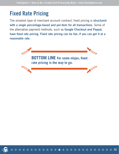## Fixed Rate Pricing

The simplest type of merchant account contract, fixed pricing is structured with a single percentage-based and per-item for all transactions. Some of the alternative payment methods, such as Google Checkout and Paypal, have fixed rate pricing. Fixed rate pricing can be fair, if you can get it at a reasonable rate.



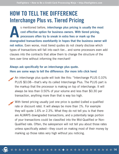## HOW TO TELL THE DIFFERENCE Interchange Plus vs. Tiered Pricing

A s mentioned before, interchange plus pricing is usually the most cost effective option for business owners. With tiered pricing, processors often try to sneak in extra fees or mark up the downgraded transactions exorbitantly in hopes that the business owner will not notice. Even worse, most tiered quotes do not clearly disclose which types of transactions will fall into each tier... and some processors even add clauses into the contracts that allow them to change the structure of the tiers over time without informing the merchant!

#### Always ask specifically for an interchange plus quote. Here are some ways to tell the difference: (for more info click here)

An interchange plus quote will look like this: "Interchange PLUS 0.10% PLUS \$0.08—that's why its called Interchange Plus. The PLUS part is the markup that the processor is making on top of interchange. It will always be less than 0.50% of your volume and less than \$0.30 per transaction, anything more than that is way too high.

With tiered pricing usually just one price is quoted (called a qualified rate or discount rate). It will always be more than 1%. For example they will quote 1.6% or 2.3%. What they do not tell you is that there are ALWAYS downgraded transactions, and a potentially large portion of your transactions could be classified into the Mid-Qualified or Non-Qualified rate. Often, the salesperson will not tell you about those rates unless specifically asked—they count on making most of their money by marking up those rates very high without you noticing.



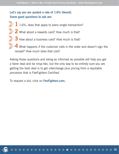#### Let's say you are quoted a rate of 1.6% (tiered). Some good questions to ask are:

- $\gg 1$  1.6%, does that apply to every single transaction?
- $\gg 2$  What about a rewards card? How much is that?
- $\gg$  3 How about a business card? How much is that?
	- What happens if the customer calls in the order and doesn't sign the receipt? How much does that cost?

Asking those questions and being as informed as possible will help you get a fairer deal and be ninja-like, but the only way to be entirely sure you are getting the best deal is to get interchange plus pricing from a reputable processor that is FeeFighters Certified.

**15**

To request a bid, click on FeeFighters.com.

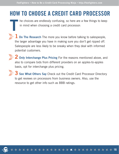## HOW TO CHOOSE A CREDIT CARD PROCESSOR

he choices are endlessly confusing, so here are a few things to keep in mind when choosing a credit card processor:

1 Do The Research The more you know before talking to salespeople, the larger advantage you have in making sure you don't get ripped off. Salespeople are less likely to be sneaky when they deal with informed potential customers.



T

 $\leq$  2 Only Interchange Plus Pricing For the reasons mentioned above, and also to compare bids from different providers on an apples-to-apples basis, opt for interchange plus pricing.

 $\gg$  3 See What Others Say Check out the Credit Card Processor Directory to get reviews on processors from business owners. Also, use the resource to get other info such as BBB ratings.

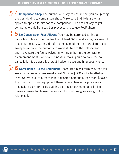4 Comparison Shop The number one way to ensure that you are getting the best deal is to comparison shop. Make sure that bids are on an apples-to-apples format for true comparison. The easiest way to get comparable bids from top tier processors is to use FeeFighters.

5 No Cancellation Fees Allowed You may be surprised to find a cancellation fee in your contract of at least \$250 and as high as several thousand dollars. Getting rid of this fee should not be a problem: most salespeople have the authority to waive it. Talk to the salesperson and make sure the fee is waived in writing either in the contract or as an amendment. For new businesses, making sure to have the no cancellation fee clause is a great hedge in case anything goes wrong.

6 Don't Rent or Lease Equipment Those little black terminals that you see in small retail stores usually cost \$100 – \$300 and a full-fledged POS system is a little more than a desktop computer, less than \$2000. If you own your own equipment there is less chance for processors to sneak in extra profit by padding your lease payments and it also makes it easier to change processors if something goes wrong in the relationship.

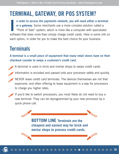## TERMINAL, GATEWAY, OR POS SYSTEM?

I n order to access the payments network, you will need either a terminal or a gateway. Some merchants use a more complex solution called a "Point of Sale" system, which is more like a computer with specialized software that does more than simply charge credit cards. Here is some info on each option, in order for you to make the best choice for your business.

## **Terminals**

A terminal is a small piece of equipment that many retail stores have on their checkout counter to swipe a customer's credit card.

A terminal is used in brick and mortar shops to swipe credit cards.

Information is encoded and passed onto your processor safely and quickly.

NEVER lease credit card terminals. The devices themselves are not that expensive, and often offering to lease equipment is a way for processors to charge you higher rates.

If you'd like to switch processors, you most likely do not need to buy a new terminal. They can be reprogrammed by your new processor by a quick phone call.

> **BOTTOM LINE Terminals are the cheapest and easiest way for brick and mortar shops to process credit cards.**

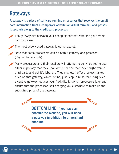## **Gateways**

A gateway is a piece of software running on a server that receives the credit card information from a company's website (or virtual terminal) and passes it securely along to the credit card processor.



The gateway sits between your shopping cart software and your credit card processor.



The most widely used gateway is Authorize.net.

Note that some processors can be both a gateway and processor (PayPal, for example).





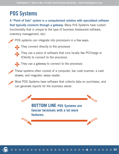## POS Systems

A "Point of Sale" system is a computerized solution with specialized software that typically connects through a gateway. Many PoS Systems have custom functionality that is unique to the type of business (restaurant software, inventory management, etc).

POS systems can integrate into processors in a few ways:



They connect directly to the processor.



They use a piece of software that runs locally like PCCharge or ICVerify to connect to the processor.



They use a gateway to connect to the processor.

These systems often consist of a computer, bar code scanner, a cash drawer, and magnetic swipe reader.

Most POS Systems have software that collects data on purchases, and can generate reports for the business owner.

**BOTTOM LINE POS Systems are fancier terminals with a lot more features.**

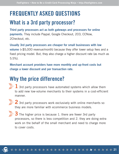## FREQUENTLY ASKED QUESTIONS

## What is a 3rd party processor?

Third party processors act as both gateways and processors for online payments. They include Paypal, Google Checkout, 2CO, CCNow, 2Checkout, etc.

Usually 3rd party processors are cheaper for small businesses with low volume (<\$5,000 revenue/month) because they offer lower setup fees and a fixed pricing model. But, they also charge a higher discount rate (as much as 5.5%).

Merchant account providers have more monthly and up-front costs but charge a lower discount and per transaction rate.

## Why the price difference?

- $\gg 1$  3rd party processors have automated systems which allow them to add new low-volume merchants to their systems in a cost-efficient manner.
- 

 $\gg 2$  3rd party processors work exclusively with online merchants so they are more familiar with ecommerce business models.



 $\gg$  3 The higher price is because 1. there are fewer 3rd party processors, so there is less competition and 2. they are doing extra work on the behalf of the small merchant and need to charge more to cover costs.

+ \* \* \* \* \* \* \* \* \* \*

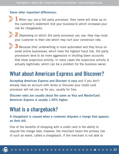#### Some other important differences:

 $\gg$  1 When you use a 3rd party processor, their name will show up on the customer's statement (not your business's) which increases your risk for chargebacks.

 $\leq$  2 Depending on which 3rd party processor you use, they may route your customer to their site which may hurt your conversion rate.



 $\mathbb{S}\times$  3 Because their underwriting is more automated and they focus on small online businesses, which have the highest fraud risk, 3rd party processors tend to be more aggressive in shutting down accounts that show suspicious activity. In many cases the suspicious activity is actually legitimate, which can be a problem for the business owner.

## What about American Express and Discover?

Accepting American Express and Discover is easy and if you don't already have an account with Amex or Discover your credit card processor will set one up for you, usually for free.

Discover rates are usually about the same as Visa and MasterCard. American Express is usually 1.50% higher.

## What is a chargeback?

A chargeback is caused when a customer disputes a charge that appears on their bill.

One of the benefits of shopping with a credit card is the ability to dispute the charge later, however, the merchant bears the primary risk of such an event, called a chargeback. If the merchant is not able to

\*\*\*\*\*\*\*\*\*

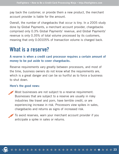pay back the customer, or provide them a new product, the merchant account provider is liable for the amount.

Overall, the number of chargebacks that occur is tiny. In a 2005 study done by Global Payments, a merchant account provider, chargebacks comprised only 0.3% Global Payments' revenue, and Global Payments' revenue is only 0.35% of total volume processed by its customers, meaning that only 0.00105% of transaction volume is charged back.

## What is a reserve?

A reserve is when a credit card processor requires a certain amount of money to be put aside to cover chargebacks.

Reserve requirements vary greatly between processors, and most of the time, business owners do not know what the requirements are, which is a great danger and can be so hurtful as to force a business to shut down.

#### Here's the good news:

Most businesses are not subject to a reserve requirement. Businesses that are subject to a reserve are usually in risky industries like travel and porn, have terrible credit, or are experiencing increase in risk. Processors view spikes in sales, chargebacks and returns as signs of increased risk.

To avoid reserves, warn your merchant account provider if you anticipate a spike in sales or returns.

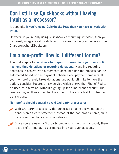## Can I still use Quickbooks without having Intuit as a processor?

It depends. If you're using Quickbooks POS then you have to work with Intuit.

However, if you're only using Quickbooks accounting software, then you can easily integrate with a different processor by using a plugin such as ChargeAnywhereDirect.com.

## I'm a non-profit. How is it different for me?

The first step is to consider what types of transactions your non-profit has: one time donations or recurring donations. Handling recurring donations is easiest with a merchant account since the process can be automated based on the payment schedule and payment amounts. If your non-profit rarely takes donations but would still like to have the option, consider Square, a new service which allows the iPhone/iPad to be used as a terminal without signing up for a merchant account. The fees are higher than a merchant account, but are worth it for infrequent transactions.

#### Non-profits should generally avoid 3rd party processors:

- With 3rd party processors, the processor's name shows up on the donor's credit card statement instead of the non-profit's name, thus increasing the chance for chargebacks.
	- Since you are using a 3rd party processor's merchant account, there is a bit of a time lag to get money into your bank account.

\*\*\*\*\*\*\*\*\*\*

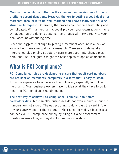Merchant accounts can often be the cheapest and easiest way for nonprofits to accept donations. However, the key to getting a good deal on a merchant account is to be well informed and know exactly what pricing structure to request. Otherwise, the process can become frustrating and complicated. With a merchant account provider, your organization's name will appear on the donor's statement and funds will flow directly to your bank account without lag time.

Since the biggest challenge to getting a merchant account is a lack of knowledge, make sure to do your research. Make sure to demand an interchange plus pricing structure (learn more about interchange plus here) and use FeeFighters to get the best apples-to-apples comparison.

## What is PCI Compliance?

PCI Compliance rules are designed to ensure that credit card numbers are not kept on merchants' computers in a form that is easy to steal. It can be expensive to achieve and complicated, especially for online merchants. Most business owners have no idea what they have to do to meet the PCI compliance requirements.

The best way to achieve PCI compliance is simple: don't store cardholder data. Most smaller businesses do not even require an audit if numbers are not stored. The easiest thing to do is pass the card info on to your gateway and let them store it. Most small to midsize businesses can achieve PCI compliance simply by filling out a self-assessment questionnaire-as long as they don't store customer data.

555555